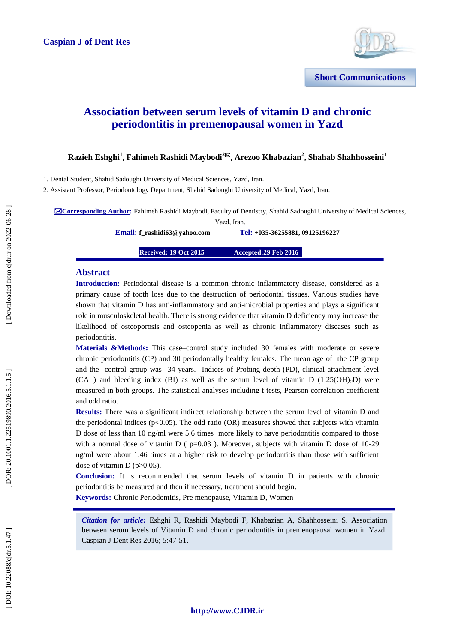

# **Association between serum levels of vitamin D and chronic periodontitis in premenopausal women in Yazd**

**Razieh Eshghi 1 , Fahimeh Rashidi Maybodi 2 , Arezoo Khabazian 2 , Shahab Shahhosseini 1**

1. Dental Student, Shahid Sadoughi University of Medical Sciences, Yazd, Iran.

2. Assistant Professor, Periodontology Department, Shahid Sadoughi University of Medical, Yazd, Iran.

**Corresponding Author:** Fahimeh Rashidi Maybodi, Faculty of Dentistry, Shahid Sadoughi University of Medical Sciences,

Yazd, Iran .

**Email : [f\\_rashidi63@yahoo.com](mailto:f_rashidi63@yahoo.com) Tel:**

**+035 -36255881, 09125196227**

**Received: 19 Oct 2015 :29 Feb 2016** 

#### **Abstract**

**Introduction:** Periodontal disease is a common chronic inflammatory disease, considered as a primary cause of tooth loss due to the destruction of periodontal tissues. Various studies have shown that vitamin D has anti -inflammatory and anti -microbial properties and plays a significant role in musculoskeletal health. There is strong evidence that vitamin D deficiency may increase the likelihood of osteoporosis and osteopenia as well as chronic inflammatory diseases such as periodontitis.

Materials &Methods: This case–control study included 30 females with moderate or severe chronic periodontitis (CP) and 30 periodontally healthy females. The mean age of the CP group and the control group was 34 years. Indices of Probing depth (PD), clinical attachment level (CAL) and bleeding index (BI) as well as the serum level of vitamin D  $(1,25(OH)_2D)$  were measured in both groups. The statistical analyses including t -tests, Pearson correlation coefficient and odd ratio.

**Results:** There was a significant indirect relationship between the serum level of vitamin D and the periodontal indices ( $p<0.05$ ). The odd ratio (OR) measures showed that subjects with vitamin D dose of less than 10 ng/ml were 5.6 times more likely to have periodontitis compared to those with a normal dose of vitamin  $D$  ( $p=0.03$ ). Moreover, subjects with vitamin D dose of 10-29 ng/ml were about 1.46 times at a higher risk to develop periodontitis than those with sufficient dose of vitamin  $D$  (p $>0.05$ ).

**Conclusion:** It is recommended that serum levels of vitamin D in patients with chronic periodontitis be measured and then if necessary, treatment should begin . **Keywords:** Chronic Periodontitis, Pre menopause, Vitamin D, Women

*Citation for article:* Eshghi R, Rashidi Maybodi F, Khabazian A, Shahhosseini S. Association between serum levels of Vitamin D and chronic periodontitis in premenopausal women in Yazd. Caspian J Dent Res 2016; 5 :47 -51.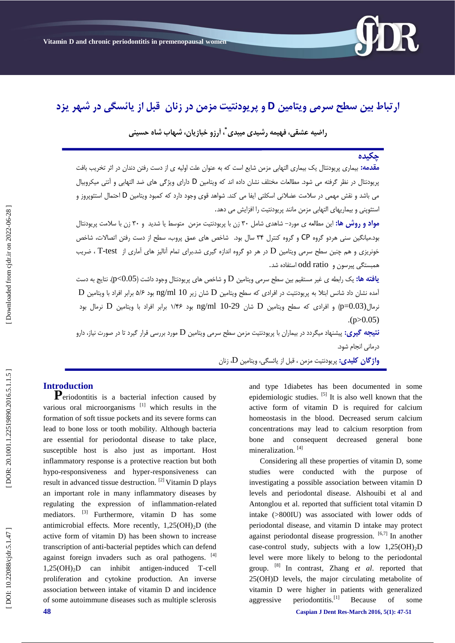

# ارتباط بین سطح سرمی ویتامین D و پریودنتیت مزمن در زنان قبل از یائسگی در شهر یزد

راضيه عشقى، فهيمه رشيدى ميبدى <sup>\*</sup>، آرزو خبازيان، شهاب شاه حسينى

# **چکیدٌ**

**مقدمه:** بیماری پریودنتال یک بیماری التهابی مزمن شایع است که به عنوان علت اولیه ی از دست رفتن دندان در اثر تخریب بافت پریودنتال در نظر گرفته می شود. مطالعات مختلف نشان داده اند که ویتامین D دارای ویژگی های ضد التهابی و آنتی میکروبیال می باشد و نقش مهمی در سلامت عضلانی اسکلتی ایفا می کند. شواهد قوی وجود دارد که کمبود ویتامین D احتمال استئوپروز و<br>استئوینی و بیماریهای التهابی مزمن مانند پریودنتیت را افزایش می دهد.

**مواد و روش ها:** این مطالعه ی مورد– شاهدی شامل ۳۰ زن با پریودنتیت مزمن متوسط یا شدید و ۳۰ زن با سلامت پریودنتال بود.میانگین سنی هردو گروه CP و گروه کنترل ۳۴ سال بود. شاخص های عمق پروب، سطح از دست رفتن اتصالات، شاخص خونریزی و هم چنین سطح سرمی ویتامین  $\rm D$  در هر دو گروه اندازه گیری شد.برای تمام آنالیز های آماری از  $\rm T\text{-}test$  ، ضریب ّوجستگی پیرسَى ٍ ratio odd استفبدُ شذ.

**یافته ها:** یک رابطه ی غیر مستقیم بین سطح سرمی ویتامین D و شاخص های پریودنتال وجود داشت (p<0.05). نتایج به دست  ${\rm D}$  آمده نشان داد شانس ابتلا به پریودنتیت در افرادی که سطح ویتامین  ${\rm D}$  شان زیر  $10$   $\rm ng/m$  بود ۵/۶ برابر افراد با ویتامین نرمال(p=0.03) و افرادی که سطح ویتامین D شان ng/ml 10-29 بود ۱/۴۶ برابر افراد با ویتامین D نرمال بود  $(p>0.05)$ 

**نتیجه گیری:** پیشنهاد میگردد در بیماران با پریودنتیت مزمن سطح سرمی ویتامین D مورد بررسی قرار گیرد تا در صورت نیاز، دارو درمانی انجام شود.

**واژگان كلیدی:** پریودنتیت مزمن ، قبل از یائسگی، ویتامین D، زنان

**Introduction**<br>**P**eriodontitis is a bacterial infection caused by various oral microorganisms<sup>[1]</sup> which results in the formation of soft tissue pockets and its severe forms can lead to bone loss or tooth mobility. Although bacteria are essential for periodontal disease to take place, susceptible host is also just as important. Host inflammatory response is a protective reaction but both hypo -responsiveness and hyper -responsiveness can result in advanced tissue destruction. [2] Vitamin D plays an important role in many inflammatory diseases by regulating the expression of inflammation -related mediators. [3] Furthermore, vitamin D has some antimicrobial effects. More recently, 1,25(OH) <sup>2</sup>D (the active form of vitamin D) has been shown to increase transcription of anti -bacterial peptides which can defend against foreign invaders such as oral pathogens. [4]  $1,25(OH)_{2}D$  $_2D$  can inhibit antigen-induced T T-cell proliferation and cytokine production. An inverse association between intake of vitamin D and incidence of some autoimmune diseases such as multiple sclerosis

and type 1diabetes has been documented in some epidemiologic studies.  $\left[5\right]$  It is also well known that the active form of vitamin D is required for calcium homeostasis in the blood. Decreased serum calcium concentrations may lead to calcium resorption from bone and consequent decreased general bone mineralization.<sup>[4]</sup>

Considering all these properties of vitamin D, some studies were conducted with the purpose of investigating a possible association between vitamin D levels and periodontal disease. Alshouibi et al and Antonglou et al. reported that sufficient total vitamin D intake (>800IU) was associated with lower odds of periodontal disease, and vitamin D intake may protect against periodontal disease progression.  $[6,7]$  In another case -control study, subjects with a low 1,25(OH) <sup>2</sup>D level were more likely to belong to the periodontal group. [8] In contrast, Zhang *et al*. reported that 25(OH)D levels, the major circulating metabolite of vitamin D were higher in patients with generalized aggressive periodontitis.<sup>[1]</sup> Because of some

DOI: 10.22088/cjdr.5.1.47]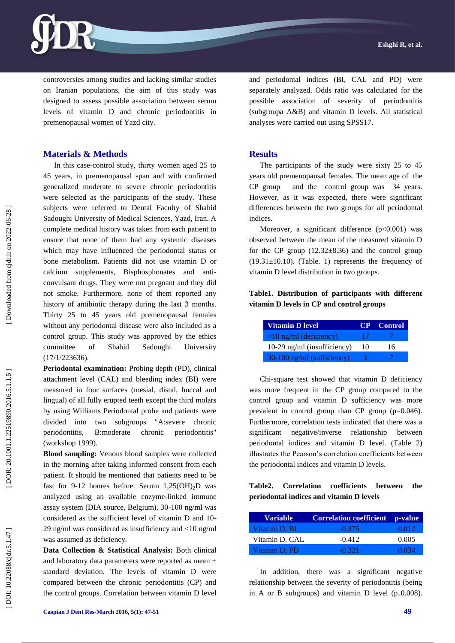

controversies among studies and lacking similar studies on Iranian populations, the aim of this study was designed to assess possible association between serum levels of vitamin D and chronic periodontitis in premenopausal women of Yazd city.

# **Materials & Methods**

In this case -control study, thirty women aged 25 to 45 years, in premenopausal span and with confirmed generalized moderate to severe chronic periodontitis were selected as the participants of the study. These subjects were referred to Dental Faculty of Shahid Sadoughi University of Medical Sciences, Yazd, Iran. A complete medical history was taken from each patient to ensure that none of them had any systemic diseases which may have influenced the periodontal status or bone metabolism. Patients did not use vitamin D or calcium supplements, Bisphosphonates and anti convulsant drugs. They were not pregnant and they did not smoke. Furthermore, none of them reported any history of antibiotic therapy during the last 3 months. Thirty 25 to 45 years old premenopausal females without any periodontal disease were also included as a control group. This study was approved by the ethics committee of Shahid Sadoughi University (17/1/223636).

**Periodontal examination:** Probing depth (PD), clinical attachment level (CAL) and bleeding index (BI) were measured in four surfaces (mesial, distal, buccal and lingual) of all fully erupted teeth except the third molars by using Williams Periodontal probe and patients were divided into two subgroups "A:severe chronic periodontitis, B:moderate chronic periodontitis" (workshop 1999).

**Blood sampling:** Venous blood samples were collected in the morning after taking informed consent from each patient. It should be mentioned that patients need to be fast for 9-12 houres before. Serum 1,25(OH)<sub>2</sub>D was analyzed using an available enzyme -linked immune assay system (DIA source, Belgium). 30 -100 ng/ml was considered as the sufficient level of vitamin D and 10 - 29 ng/ml was considered as insufficiency and <10 ng/ml was assumed as deficiency.

**Data Collection & Statistical Analysis:** Both clinical and laboratory data parameters were reported as mean ± standard deviation. The levels of vitamin D were compared between the chronic periodontitis (CP) and the control groups. Correlation between vitamin D level and periodontal indices (BI, CAL and PD) were separately analyzed. Odds ratio was calculated for the possible association of severity of periodontitis (subgroupa A&B) and vitamin D levels. All statistical analyses were carried out using SPSS17.

#### **Results**

The participants of the study were sixty 25 to 45 years old premenopausal females. The mean age of the CP group and the control group was 34 years . However, as it was expected, there were significant differences between the two groups for all periodontal indices.

Moreover, a significant difference  $(p<0.001)$  was observed between the mean of the measured vitamin D for the CP group  $(12.32 \pm 8.36)$  and the control group  $(19.31 \pm 10.10)$ . (Table. 1) represents the frequency of vitamin D level distribution in two groups.

# **Table1. Distribution of participants with different vitamin D levels in CP and control groups**

| <b>Vitamin D level</b>                  |     | <b>CP</b> Control |
|-----------------------------------------|-----|-------------------|
| $\langle 10 \text{ ng/ml}$ (deficiency) | -17 |                   |
| 10-29 ng/ml (insufficiency)             | 10  | 16                |
| 30-100 ng/ml (sufficiency)              |     |                   |

Chi -square test showed that vitamin D deficiency was more frequent in the CP group compared to the control group and vitamin D sufficiency was more prevalent in control group than CP group (p=0.046). Furthermore, correlation tests indicated that there was a significant negative/inverse relationship between periodontal indices and vitamin D level. (Table 2) illustrates the Pearson's correlation coefficients between the periodontal indices and vitamin D levels.

# **Table2. Correlation coefficients between the periodontal indices and vitamin D levels**

| Variable       | <b>Correlation coefficient</b> | p-value |
|----------------|--------------------------------|---------|
| Vitamin D, BI  | $-0.375$                       | 0.012   |
| Vitamin D, CAL | $-0.412$                       | 0.005   |
| Vitamin D, PD  | $-0.321$                       | 0.034   |

In addition, there was a significant negative relationship between the severity of periodontitis (being in A or B subgroups) and vitamin D level  $(p=0.008)$ .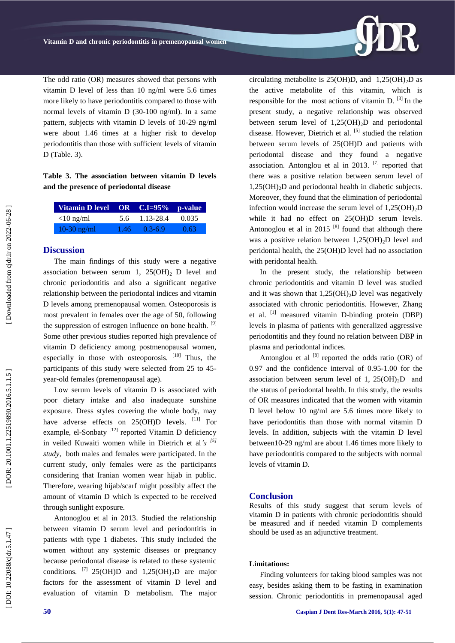The odd ratio (OR) measures showed that persons with vitamin D level of less than 10 ng/ml were 5.6 times more likely to have periodontitis compared to those with normal levels of vitamin D (30 -100 ng/ml). In a same pattern, subjects with vitamin D levels of 10 -29 ng/ml were about 1.46 times at a higher risk to develop periodontitis than those with sufficient levels of vitamin D (Table. 3) .

## **Table 3. The association between vitamin D levels and the presence of periodontal disease**

| Vitamin D level OR C.I=95% p-value |      |             |       |
|------------------------------------|------|-------------|-------|
| $<$ 10 ng/ml                       | 5.6  | 1.13-28.4   | 0.035 |
| $10-30$ ng/ml                      | 1.46 | $0.3 - 6.9$ | 0.63  |

## **Discussion**

The main findings of this study were a negative association between serum 1,  $25(OH)_{2}$  D level and chronic periodontitis and also a significant negative relationship between the periodontal indices and vitamin D levels among premenopausal women. Osteoporosis is most prevalent in females over the age of 50, following the suppression of estrogen influence on bone health. <sup>[9]</sup> Some other previous studies reported high prevalence of vitamin D deficiency among postmenopausal women, especially in those with osteoporosis. [10] Thus, the participants of this study were selected from 25 to 45 year -old females (premenopausal age).

Low serum levels of vitamin D is associated with poor dietary intake and also inadequate sunshine exposure. Dress styles covering the whole body, may have adverse effects on  $25(OH)D$  levels.  $^{[11]}$  For example, el-Sonbaty<sup>[12]</sup> reported Vitamin D deficiency in veiled Kuwaiti women while in Dietrich et al*'s [5] study,* both males and females were participated. In the current study, only females were as the participants considering that Iranian women wear hijab in public. Therefore, wearing hijab/scarf might possibly affect the amount of vitamin D which is expected to be received through sunlight exposure.

Antonoglou et al in 2013. Studied the relationship between vitamin D serum level and periodontitis in patients with type 1 diabetes. This study included the women without any systemic diseases or pregnancy because periodontal disease is related to these systemic conditions. <sup>[7]</sup> 25(OH)D and 1,25(OH)<sub>2</sub>D are major factors for the assessment of vitamin D level and evaluation of vitamin D metabolism. The major

circulating metabolite is  $25(OH)D$ , and  $1,25(OH)_2D$  as the active metabolite of this vitamin, which is responsible for the most actions of vitamin D.  $^{[3]}$  In the present study, a negative relationship was observed between serum level of  $1,25(OH)_2D$  and periodontal disease. However, Dietrich et al. [5] studied the relation between serum levels of 25(OH)D and patients with periodontal disease and they found a negative association. Antonglou et al in 2013. <sup>[7]</sup> reported that there was a positive relation between serum level of 1,25(OH) <sup>2</sup>D and periodontal health in diabetic subjects. Moreover, they found that the elimination of periodontal infection would increase the serum level of 1,25(OH) <sup>2</sup>D while it had no effect on 25(OH)D serum levels. Antonoglou et al in 2015  $[8]$  found that although there was a positive relation between 1,25(OH) <sup>2</sup>D level and peridontal health, the 25(OH)D level had no association with peridontal health.

In the present study, the relationship between chronic periodontitis and vitamin D level was studied and it was shown that 1,25(OH) <sup>2</sup>D level was negatively associated with chronic periodontitis. However, Zhang et al. <sup>[1]</sup> measured vitamin D-binding protein (DBP) levels in plasma of patients with generalized aggressive periodontitis and they found no relation between DBP in plasma and periodontal indices.

Antonglou et al  $^{[8]}$  reported the odds ratio (OR) of 0.97 and the confidence interval of 0.95 -1.00 for the association between serum level of 1,  $25(OH)_2D$  and the status of periodontal health. In this study, the results of OR measures indicated that the women with vitamin D level below 10 ng/ml are 5.6 times more likely to have periodontitis than those with normal vitamin D levels. In addition, subjects with the vitamin D level between10 -29 ng/ml are about 1.46 times more likely to have periodontitis compared to the subjects with normal levels of vitamin D.

#### **Conclusion**

Results of this study suggest that serum levels of vitamin D in patients with chronic periodontitis should be measured and if needed vitamin D complements should be used as an adjunctive treatment.

#### **Limitations:**

Finding volunteers for taking blood samples was not easy, besides asking them to be fasting in examination session. Chronic periodontitis in premenopausal aged